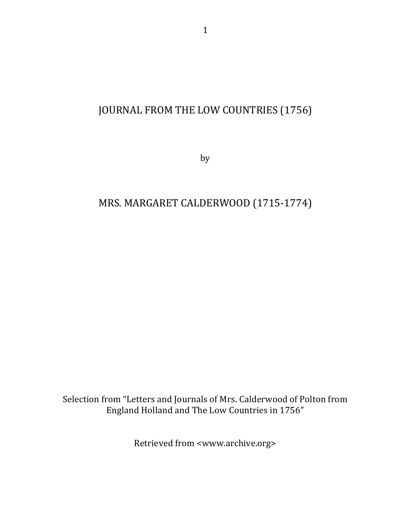# JOURNAL FROM THE LOW COUNTRIES (1756)

by

## MRS. MARGARET CALDERWOOD (1715-1774)

Selection from "Letters and Journals of Mrs. Calderwood of Polton from England Holland and The Low Countries in 1756"

Retrieved from <www.archive.org>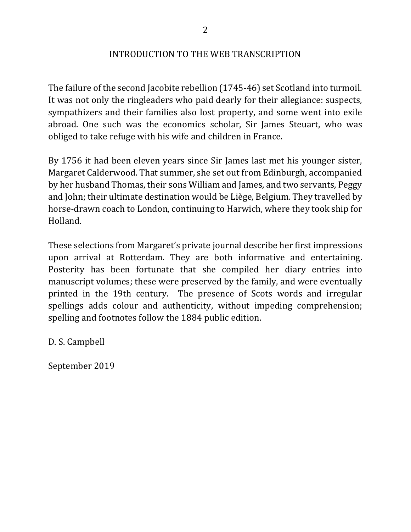#### INTRODUCTION TO THE WEB TRANSCRIPTION

The failure of the second Jacobite rebellion (1745-46) set Scotland into turmoil. It was not only the ringleaders who paid dearly for their allegiance: suspects, sympathizers and their families also lost property, and some went into exile abroad. One such was the economics scholar, Sir James Steuart, who was obliged to take refuge with his wife and children in France.

By 1756 it had been eleven years since Sir James last met his younger sister, Margaret Calderwood. That summer, she set out from Edinburgh, accompanied by her husband Thomas, their sons William and James, and two servants, Peggy and John; their ultimate destination would be Liège, Belgium. They travelled by horse-drawn coach to London, continuing to Harwich, where they took ship for Holland.

These selections from Margaret's private journal describe her first impressions upon arrival at Rotterdam. They are both informative and entertaining. Posterity has been fortunate that she compiled her diary entries into manuscript volumes; these were preserved by the family, and were eventually printed in the 19th century. The presence of Scots words and irregular spellings adds colour and authenticity, without impeding comprehension; spelling and footnotes follow the 1884 public edition.

D. S. Campbell

September 2019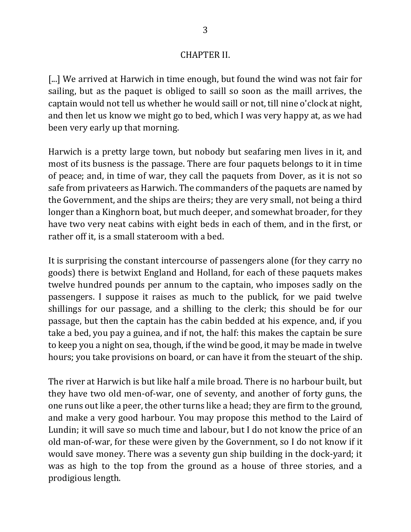### **CHAPTER II.**

[...] We arrived at Harwich in time enough, but found the wind was not fair for sailing, but as the paquet is obliged to saill so soon as the maill arrives, the captain would not tell us whether he would saill or not, till nine o'clock at night, and then let us know we might go to bed, which I was very happy at, as we had been very early up that morning.

Harwich is a pretty large town, but nobody but seafaring men lives in it, and most of its busness is the passage. There are four paquets belongs to it in time of peace; and, in time of war, they call the paquets from Dover, as it is not so safe from privateers as Harwich. The commanders of the paquets are named by the Government, and the ships are theirs; they are very small, not being a third longer than a Kinghorn boat, but much deeper, and somewhat broader, for they have two very neat cabins with eight beds in each of them, and in the first, or rather off it, is a small stateroom with a bed.

It is surprising the constant intercourse of passengers alone (for they carry no goods) there is betwixt England and Holland, for each of these paquets makes twelve hundred pounds per annum to the captain, who imposes sadly on the passengers. I suppose it raises as much to the publick, for we paid twelve shillings for our passage, and a shilling to the clerk; this should be for our passage, but then the captain has the cabin bedded at his expence, and, if you take a bed, you pay a guinea, and if not, the half: this makes the captain be sure to keep you a night on sea, though, if the wind be good, it may be made in twelve hours; you take provisions on board, or can have it from the steuart of the ship.

The river at Harwich is but like half a mile broad. There is no harbour built, but they have two old men-of-war, one of seventy, and another of forty guns, the one runs out like a peer, the other turns like a head; they are firm to the ground, and make a very good harbour. You may propose this method to the Laird of Lundin; it will save so much time and labour, but I do not know the price of an old man-of-war, for these were given by the Government, so I do not know if it would save money. There was a seventy gun ship building in the dock-yard; it was as high to the top from the ground as a house of three stories, and a prodigious length.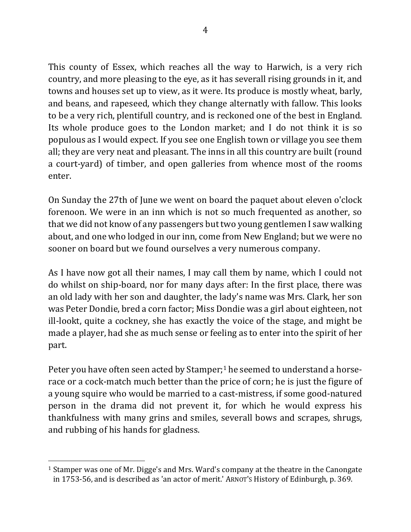This county of Essex, which reaches all the way to Harwich, is a very rich country, and more pleasing to the eye, as it has severall rising grounds in it, and towns and houses set up to view, as it were. Its produce is mostly wheat, barly, and beans, and rapeseed, which they change alternatly with fallow. This looks to be a very rich, plentifull country, and is reckoned one of the best in England. Its whole produce goes to the London market; and I do not think it is so populous as I would expect. If you see one English town or village you see them all; they are very neat and pleasant. The inns in all this country are built (round a court-yard) of timber, and open galleries from whence most of the rooms enter. 

On Sunday the 27th of June we went on board the paquet about eleven o'clock forenoon. We were in an inn which is not so much frequented as another, so that we did not know of any passengers but two young gentlemen I saw walking about, and one who lodged in our inn, come from New England; but we were no sooner on board but we found ourselves a very numerous company.

As I have now got all their names, I may call them by name, which I could not do whilst on ship-board, nor for many days after: In the first place, there was an old lady with her son and daughter, the lady's name was Mrs. Clark, her son was Peter Dondie, bred a corn factor; Miss Dondie was a girl about eighteen, not ill-lookt, quite a cockney, she has exactly the voice of the stage, and might be made a player, had she as much sense or feeling as to enter into the spirit of her part. 

Peter you have often seen acted by Stamper;<sup>1</sup> he seemed to understand a horserace or a cock-match much better than the price of corn; he is just the figure of a young squire who would be married to a cast-mistress, if some good-natured person in the drama did not prevent it, for which he would express his thankfulness with many grins and smiles, severall bows and scrapes, shrugs, and rubbing of his hands for gladness.

<sup>&</sup>lt;sup>1</sup> Stamper was one of Mr. Digge's and Mrs. Ward's company at the theatre in the Canongate in 1753-56, and is described as 'an actor of merit.' ARNOT's History of Edinburgh, p. 369.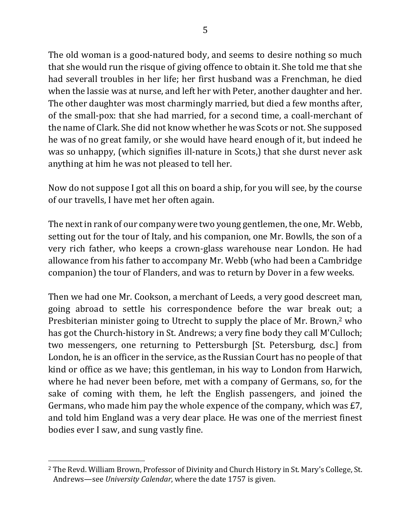The old woman is a good-natured body, and seems to desire nothing so much that she would run the risque of giving offence to obtain it. She told me that she had severall troubles in her life; her first husband was a Frenchman, he died when the lassie was at nurse, and left her with Peter, another daughter and her. The other daughter was most charmingly married, but died a few months after, of the small-pox: that she had married, for a second time, a coall-merchant of the name of Clark. She did not know whether he was Scots or not. She supposed he was of no great family, or she would have heard enough of it, but indeed he was so unhappy, (which signifies ill-nature in Scots,) that she durst never ask anything at him he was not pleased to tell her.

Now do not suppose I got all this on board a ship, for you will see, by the course of our travells, I have met her often again.

The next in rank of our company were two young gentlemen, the one, Mr. Webb, setting out for the tour of Italy, and his companion, one Mr. Bowlls, the son of a very rich father, who keeps a crown-glass warehouse near London. He had allowance from his father to accompany Mr. Webb (who had been a Cambridge companion) the tour of Flanders, and was to return by Dover in a few weeks.

Then we had one Mr. Cookson, a merchant of Leeds, a very good descreet man, going abroad to settle his correspondence before the war break out; a Presbiterian minister going to Utrecht to supply the place of Mr. Brown,<sup>2</sup> who has got the Church-history in St. Andrews; a very fine body they call M'Culloch; two messengers, one returning to Pettersburgh [St. Petersburg, dsc.] from London, he is an officer in the service, as the Russian Court has no people of that kind or office as we have; this gentleman, in his way to London from Harwich, where he had never been before, met with a company of Germans, so, for the sake of coming with them, he left the English passengers, and joined the Germans, who made him pay the whole expence of the company, which was  $E7$ , and told him England was a very dear place. He was one of the merriest finest bodies ever I saw, and sung vastly fine.

<sup>&</sup>lt;sup>2</sup> The Revd. William Brown, Professor of Divinity and Church History in St. Mary's College, St. Andrews—see *University Calendar*, where the date 1757 is given.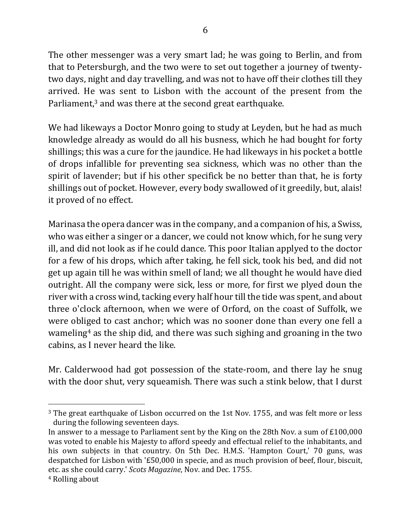The other messenger was a very smart lad; he was going to Berlin, and from that to Petersburgh, and the two were to set out together a journey of twentytwo days, night and day travelling, and was not to have off their clothes till they arrived. He was sent to Lisbon with the account of the present from the Parliament, $3$  and was there at the second great earthquake.

We had likeways a Doctor Monro going to study at Leyden, but he had as much knowledge already as would do all his busness, which he had bought for forty shillings; this was a cure for the jaundice. He had likeways in his pocket a bottle of drops infallible for preventing sea sickness, which was no other than the spirit of lavender; but if his other specifick be no better than that, he is forty shillings out of pocket. However, every body swallowed of it greedily, but, alais! it proved of no effect.

Marinasa the opera dancer was in the company, and a companion of his, a Swiss, who was either a singer or a dancer, we could not know which, for he sung very ill, and did not look as if he could dance. This poor Italian applyed to the doctor for a few of his drops, which after taking, he fell sick, took his bed, and did not get up again till he was within smell of land; we all thought he would have died outright. All the company were sick, less or more, for first we plyed doun the river with a cross wind, tacking every half hour till the tide was spent, and about three o'clock afternoon, when we were of Orford, on the coast of Suffolk, we were obliged to cast anchor; which was no sooner done than every one fell a wameling<sup>4</sup> as the ship did, and there was such sighing and groaning in the two cabins, as I never heard the like.

Mr. Calderwood had got possession of the state-room, and there lay he snug with the door shut, very squeamish. There was such a stink below, that I durst

<sup>&</sup>lt;sup>3</sup> The great earthquake of Lisbon occurred on the 1st Nov. 1755, and was felt more or less during the following seventeen days.

In answer to a message to Parliament sent by the King on the 28th Nov. a sum of  $£100,000$ was voted to enable his Majesty to afford speedy and effectual relief to the inhabitants, and his own subjects in that country. On 5th Dec. H.M.S. 'Hampton Court,' 70 guns, was despatched for Lisbon with '£50,000 in specie, and as much provision of beef, flour, biscuit, etc. as she could carry.' *Scots Magazine*, Nov. and Dec. 1755.

<sup>&</sup>lt;sup>4</sup> Rolling about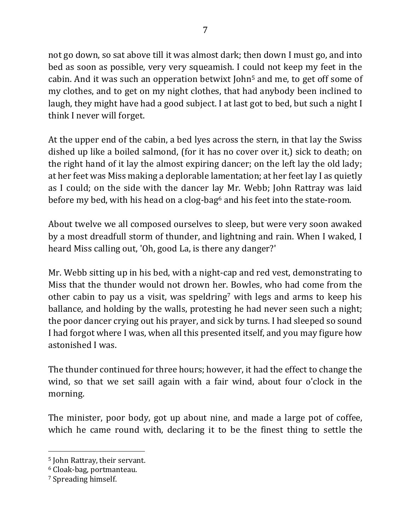7

not go down, so sat above till it was almost dark; then down I must go, and into bed as soon as possible, very very squeamish. I could not keep my feet in the cabin. And it was such an opperation betwixt  $\lambda$  ohn<sup>5</sup> and me, to get off some of my clothes, and to get on my night clothes, that had anybody been inclined to laugh, they might have had a good subject. I at last got to bed, but such a night I think I never will forget.

At the upper end of the cabin, a bed lyes across the stern, in that lay the Swiss dished up like a boiled salmond, (for it has no cover over it,) sick to death; on the right hand of it lay the almost expiring dancer; on the left lay the old lady; at her feet was Miss making a deplorable lamentation; at her feet lay I as quietly as I could; on the side with the dancer lay Mr. Webb; John Rattray was laid before my bed, with his head on a clog-bag<sup>6</sup> and his feet into the state-room.

About twelve we all composed ourselves to sleep, but were very soon awaked by a most dreadfull storm of thunder, and lightning and rain. When I waked, I heard Miss calling out, 'Oh, good La, is there any danger?'

Mr. Webb sitting up in his bed, with a night-cap and red vest, demonstrating to Miss that the thunder would not drown her. Bowles, who had come from the other cabin to pay us a visit, was speldring<sup>7</sup> with legs and arms to keep his ballance, and holding by the walls, protesting he had never seen such a night; the poor dancer crying out his prayer, and sick by turns. I had sleeped so sound I had forgot where I was, when all this presented itself, and you may figure how astonished I was.

The thunder continued for three hours; however, it had the effect to change the wind, so that we set saill again with a fair wind, about four o'clock in the morning. 

The minister, poor body, got up about nine, and made a large pot of coffee, which he came round with, declaring it to be the finest thing to settle the

<sup>&</sup>lt;sup>5</sup> John Rattray, their servant.

<sup>&</sup>lt;sup>6</sup> Cloak-bag, portmanteau.

<sup>&</sup>lt;sup>7</sup> Spreading himself.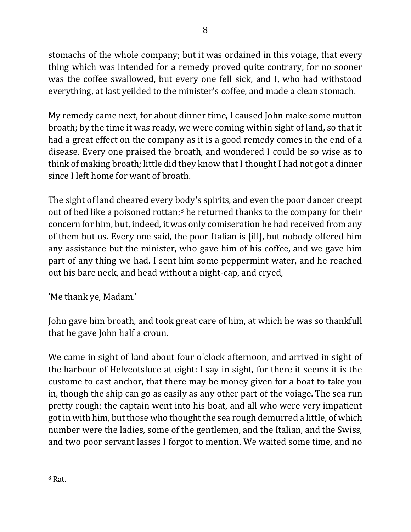stomachs of the whole company; but it was ordained in this voiage, that every thing which was intended for a remedy proved quite contrary, for no sooner was the coffee swallowed, but every one fell sick, and I, who had withstood everything, at last yeilded to the minister's coffee, and made a clean stomach.

My remedy came next, for about dinner time, I caused John make some mutton broath; by the time it was ready, we were coming within sight of land, so that it had a great effect on the company as it is a good remedy comes in the end of a disease. Every one praised the broath, and wondered I could be so wise as to think of making broath; little did they know that I thought I had not got a dinner since I left home for want of broath.

The sight of land cheared every body's spirits, and even the poor dancer creept out of bed like a poisoned rottan;<sup>8</sup> he returned thanks to the company for their concern for him, but, indeed, it was only comiseration he had received from any of them but us. Every one said, the poor Italian is [ill], but nobody offered him any assistance but the minister, who gave him of his coffee, and we gave him part of any thing we had. I sent him some peppermint water, and he reached out his bare neck, and head without a night-cap, and cryed,

'Me thank ye, Madam.'

John gave him broath, and took great care of him, at which he was so thankfull that he gave John half a croun.

We came in sight of land about four o'clock afternoon, and arrived in sight of the harbour of Helveotsluce at eight: I say in sight, for there it seems it is the custome to cast anchor, that there may be money given for a boat to take you in, though the ship can go as easily as any other part of the voiage. The sea run pretty rough; the captain went into his boat, and all who were very impatient got in with him, but those who thought the sea rough demurred a little, of which number were the ladies, some of the gentlemen, and the Italian, and the Swiss, and two poor servant lasses I forgot to mention. We waited some time, and no

<sup>8</sup> Rat.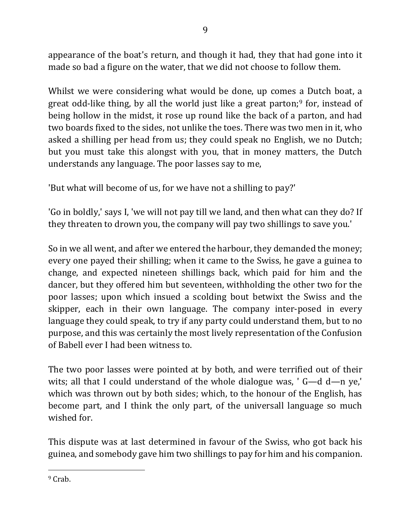appearance of the boat's return, and though it had, they that had gone into it made so bad a figure on the water, that we did not choose to follow them.

Whilst we were considering what would be done, up comes a Dutch boat, a great odd-like thing, by all the world just like a great parton;<sup>9</sup> for, instead of being hollow in the midst, it rose up round like the back of a parton, and had two boards fixed to the sides, not unlike the toes. There was two men in it, who asked a shilling per head from us; they could speak no English, we no Dutch; but you must take this alongst with you, that in money matters, the Dutch understands any language. The poor lasses say to me,

'But what will become of us, for we have not a shilling to pay?'

'Go in boldly,' says I, 'we will not pay till we land, and then what can they do? If they threaten to drown you, the company will pay two shillings to save you.'

So in we all went, and after we entered the harbour, they demanded the money; every one payed their shilling; when it came to the Swiss, he gave a guinea to change, and expected nineteen shillings back, which paid for him and the dancer, but they offered him but seventeen, withholding the other two for the poor lasses; upon which insued a scolding bout betwixt the Swiss and the skipper, each in their own language. The company inter-posed in every language they could speak, to try if any party could understand them, but to no purpose, and this was certainly the most lively representation of the Confusion of Babell ever I had been witness to.

The two poor lasses were pointed at by both, and were terrified out of their wits; all that I could understand of the whole dialogue was, '  $G-d$  d—n ye,' which was thrown out by both sides; which, to the honour of the English, has become part, and I think the only part, of the universall language so much wished for.

This dispute was at last determined in favour of the Swiss, who got back his guinea, and somebody gave him two shillings to pay for him and his companion.

 $\overline{a}$ <sup>9</sup> Crab.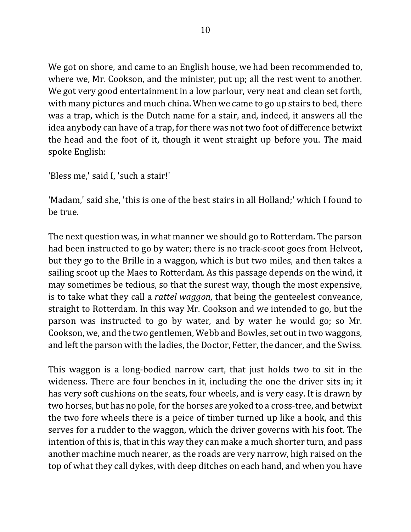We got on shore, and came to an English house, we had been recommended to, where we, Mr. Cookson, and the minister, put up; all the rest went to another. We got very good entertainment in a low parlour, very neat and clean set forth, with many pictures and much china. When we came to go up stairs to bed, there was a trap, which is the Dutch name for a stair, and, indeed, it answers all the idea anybody can have of a trap, for there was not two foot of difference betwixt the head and the foot of it, though it went straight up before you. The maid spoke English:

'Bless me,' said I, 'such a stair!'

'Madam,' said she, 'this is one of the best stairs in all Holland;' which I found to be true.

The next question was, in what manner we should go to Rotterdam. The parson had been instructed to go by water; there is no track-scoot goes from Helveot, but they go to the Brille in a waggon, which is but two miles, and then takes a sailing scoot up the Maes to Rotterdam. As this passage depends on the wind, it may sometimes be tedious, so that the surest way, though the most expensive, is to take what they call a *rattel waggon*, that being the genteelest conveance, straight to Rotterdam. In this way Mr. Cookson and we intended to go, but the parson was instructed to go by water, and by water he would go; so Mr. Cookson, we, and the two gentlemen, Webb and Bowles, set out in two waggons, and left the parson with the ladies, the Doctor, Fetter, the dancer, and the Swiss.

This waggon is a long-bodied narrow cart, that just holds two to sit in the wideness. There are four benches in it, including the one the driver sits in; it has very soft cushions on the seats, four wheels, and is very easy. It is drawn by two horses, but has no pole, for the horses are yoked to a cross-tree, and betwixt the two fore wheels there is a peice of timber turned up like a hook, and this serves for a rudder to the waggon, which the driver governs with his foot. The intention of this is, that in this way they can make a much shorter turn, and pass another machine much nearer, as the roads are very narrow, high raised on the top of what they call dykes, with deep ditches on each hand, and when you have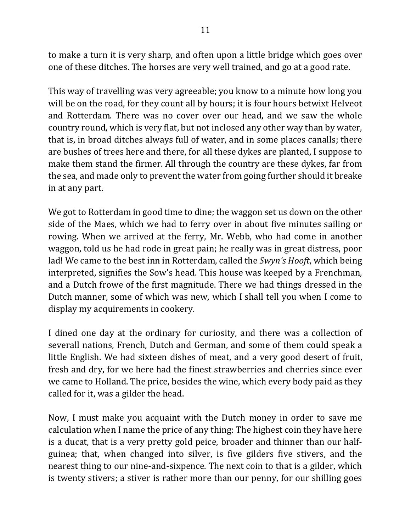to make a turn it is very sharp, and often upon a little bridge which goes over one of these ditches. The horses are very well trained, and go at a good rate.

This way of travelling was very agreeable; you know to a minute how long you will be on the road, for they count all by hours; it is four hours betwixt Helveot and Rotterdam. There was no cover over our head, and we saw the whole country round, which is very flat, but not inclosed any other way than by water, that is, in broad ditches always full of water, and in some places canalls; there are bushes of trees here and there, for all these dykes are planted, I suppose to make them stand the firmer. All through the country are these dykes, far from the sea, and made only to prevent the water from going further should it breake in at any part.

We got to Rotterdam in good time to dine; the waggon set us down on the other side of the Maes, which we had to ferry over in about five minutes sailing or rowing. When we arrived at the ferry, Mr. Webb, who had come in another waggon, told us he had rode in great pain; he really was in great distress, poor lad! We came to the best inn in Rotterdam, called the *Swyn's Hooft*, which being interpreted, signifies the Sow's head. This house was keeped by a Frenchman, and a Dutch frowe of the first magnitude. There we had things dressed in the Dutch manner, some of which was new, which I shall tell you when I come to display my acquirements in cookery.

I dined one day at the ordinary for curiosity, and there was a collection of severall nations, French, Dutch and German, and some of them could speak a little English. We had sixteen dishes of meat, and a very good desert of fruit, fresh and dry, for we here had the finest strawberries and cherries since ever we came to Holland. The price, besides the wine, which every body paid as they called for it, was a gilder the head.

Now, I must make you acquaint with the Dutch money in order to save me calculation when I name the price of any thing: The highest coin they have here is a ducat, that is a very pretty gold peice, broader and thinner than our halfguinea; that, when changed into silver, is five gilders five stivers, and the nearest thing to our nine-and-sixpence. The next coin to that is a gilder, which is twenty stivers; a stiver is rather more than our penny, for our shilling goes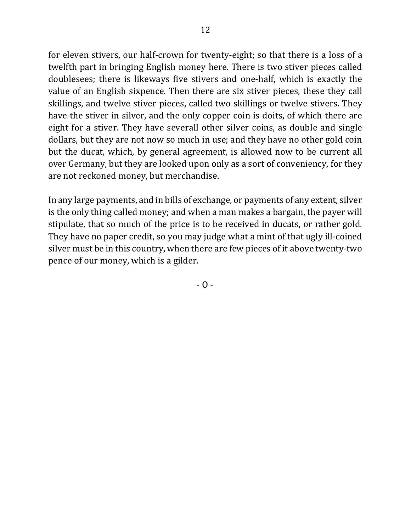for eleven stivers, our half-crown for twenty-eight; so that there is a loss of a twelfth part in bringing English money here. There is two stiver pieces called doublesees; there is likeways five stivers and one-half, which is exactly the value of an English sixpence. Then there are six stiver pieces, these they call skillings, and twelve stiver pieces, called two skillings or twelve stivers. They have the stiver in silver, and the only copper coin is doits, of which there are eight for a stiver. They have severall other silver coins, as double and single dollars, but they are not now so much in use; and they have no other gold coin but the ducat, which, by general agreement, is allowed now to be current all over Germany, but they are looked upon only as a sort of conveniency, for they are not reckoned money, but merchandise.

In any large payments, and in bills of exchange, or payments of any extent, silver is the only thing called money; and when a man makes a bargain, the payer will stipulate, that so much of the price is to be received in ducats, or rather gold. They have no paper credit, so you may judge what a mint of that ugly ill-coined silver must be in this country, when there are few pieces of it above twenty-two pence of our money, which is a gilder.

 $-$  O  $-$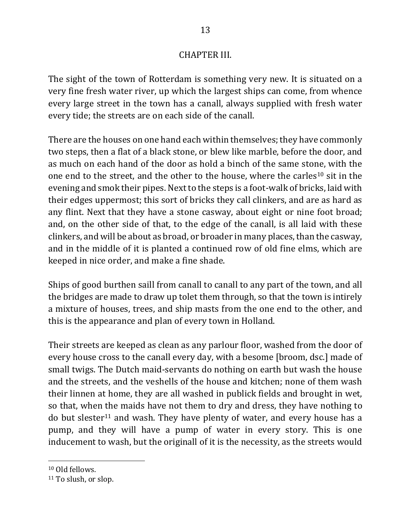## **CHAPTER III.**

The sight of the town of Rotterdam is something very new. It is situated on a very fine fresh water river, up which the largest ships can come, from whence every large street in the town has a canall, always supplied with fresh water every tide; the streets are on each side of the canall.

There are the houses on one hand each within themselves; they have commonly two steps, then a flat of a black stone, or blew like marble, before the door, and as much on each hand of the door as hold a binch of the same stone, with the one end to the street, and the other to the house, where the carles<sup>10</sup> sit in the evening and smok their pipes. Next to the steps is a foot-walk of bricks, laid with their edges uppermost; this sort of bricks they call clinkers, and are as hard as any flint. Next that they have a stone casway, about eight or nine foot broad; and, on the other side of that, to the edge of the canall, is all laid with these clinkers, and will be about as broad, or broader in many places, than the casway, and in the middle of it is planted a continued row of old fine elms, which are keeped in nice order, and make a fine shade.

Ships of good burthen saill from canall to canall to any part of the town, and all the bridges are made to draw up tolet them through, so that the town is intirely a mixture of houses, trees, and ship masts from the one end to the other, and this is the appearance and plan of every town in Holland.

Their streets are keeped as clean as any parlour floor, washed from the door of every house cross to the canall every day, with a besome [broom, dsc.] made of small twigs. The Dutch maid-servants do nothing on earth but wash the house and the streets, and the veshells of the house and kitchen; none of them wash their linnen at home, they are all washed in publick fields and brought in wet, so that, when the maids have not them to dry and dress, they have nothing to do but slester<sup>11</sup> and wash. They have plenty of water, and every house has a pump, and they will have a pump of water in every story. This is one inducement to wash, but the originall of it is the necessity, as the streets would

<sup>&</sup>lt;sup>10</sup> Old fellows.

 $11$  To slush, or slop.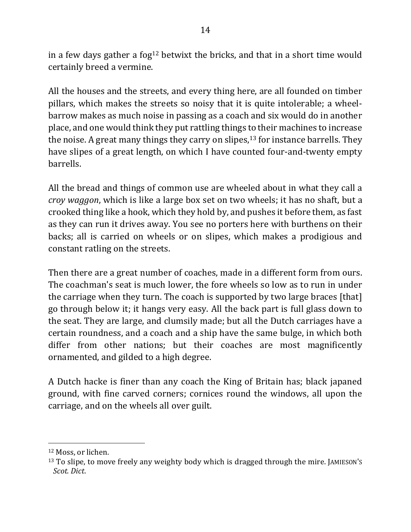in a few days gather a fog<sup>12</sup> betwixt the bricks, and that in a short time would certainly breed a vermine.

All the houses and the streets, and every thing here, are all founded on timber pillars, which makes the streets so noisy that it is quite intolerable; a wheelbarrow makes as much noise in passing as a coach and six would do in another place, and one would think they put rattling things to their machines to increase the noise. A great many things they carry on slipes,  $13$  for instance barrells. They have slipes of a great length, on which I have counted four-and-twenty empty barrells. 

All the bread and things of common use are wheeled about in what they call a *croy* waggon, which is like a large box set on two wheels; it has no shaft, but a crooked thing like a hook, which they hold by, and pushes it before them, as fast as they can run it drives away. You see no porters here with burthens on their backs; all is carried on wheels or on slipes, which makes a prodigious and constant ratling on the streets.

Then there are a great number of coaches, made in a different form from ours. The coachman's seat is much lower, the fore wheels so low as to run in under the carriage when they turn. The coach is supported by two large braces [that] go through below it; it hangs very easy. All the back part is full glass down to the seat. They are large, and clumsily made; but all the Dutch carriages have a certain roundness, and a coach and a ship have the same bulge, in which both differ from other nations; but their coaches are most magnificently ornamented, and gilded to a high degree.

A Dutch hacke is finer than any coach the King of Britain has; black japaned ground, with fine carved corners; cornices round the windows, all upon the carriage, and on the wheels all over guilt.

<sup>&</sup>lt;sup>12</sup> Moss, or lichen.

<sup>&</sup>lt;sup>13</sup> To slipe, to move freely any weighty body which is dragged through the mire. JAMIESON'S *Scot. Dict*.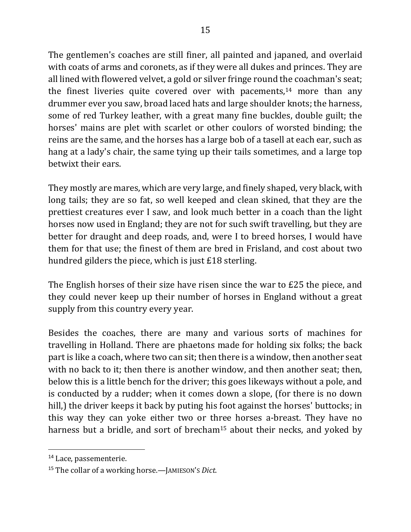The gentlemen's coaches are still finer, all painted and japaned, and overlaid with coats of arms and coronets, as if they were all dukes and princes. They are all lined with flowered velvet, a gold or silver fringe round the coachman's seat; the finest liveries quite covered over with pacements,<sup>14</sup> more than any drummer ever you saw, broad laced hats and large shoulder knots; the harness, some of red Turkey leather, with a great many fine buckles, double guilt; the horses' mains are plet with scarlet or other coulors of worsted binding; the reins are the same, and the horses has a large bob of a tasell at each ear, such as hang at a lady's chair, the same tying up their tails sometimes, and a large top betwixt their ears.

They mostly are mares, which are very large, and finely shaped, very black, with long tails; they are so fat, so well keeped and clean skined, that they are the prettiest creatures ever I saw, and look much better in a coach than the light horses now used in England; they are not for such swift travelling, but they are better for draught and deep roads, and, were I to breed horses, I would have them for that use; the finest of them are bred in Frisland, and cost about two hundred gilders the piece, which is just  $£18$  sterling.

The English horses of their size have risen since the war to  $E25$  the piece, and they could never keep up their number of horses in England without a great supply from this country every year.

Besides the coaches, there are many and various sorts of machines for travelling in Holland. There are phaetons made for holding six folks; the back part is like a coach, where two can sit; then there is a window, then another seat with no back to it; then there is another window, and then another seat; then, below this is a little bench for the driver; this goes likeways without a pole, and is conducted by a rudder; when it comes down a slope, (for there is no down hill,) the driver keeps it back by puting his foot against the horses' buttocks; in this way they can yoke either two or three horses a-breast. They have no harness but a bridle, and sort of brecham<sup>15</sup> about their necks, and yoked by

<sup>&</sup>lt;sup>14</sup> Lace, passementerie.

<sup>&</sup>lt;sup>15</sup> The collar of a working horse.—JAMIESON'S *Dict*.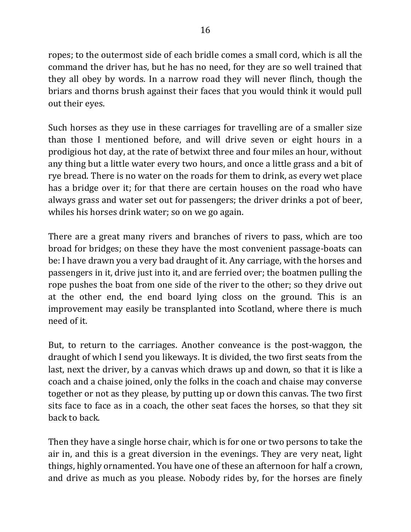ropes; to the outermost side of each bridle comes a small cord, which is all the command the driver has, but he has no need, for they are so well trained that they all obey by words. In a narrow road they will never flinch, though the briars and thorns brush against their faces that you would think it would pull out their eyes.

Such horses as they use in these carriages for travelling are of a smaller size than those I mentioned before, and will drive seven or eight hours in a prodigious hot day, at the rate of betwixt three and four miles an hour, without any thing but a little water every two hours, and once a little grass and a bit of rye bread. There is no water on the roads for them to drink, as every wet place has a bridge over it; for that there are certain houses on the road who have always grass and water set out for passengers; the driver drinks a pot of beer, whiles his horses drink water; so on we go again.

There are a great many rivers and branches of rivers to pass, which are too broad for bridges; on these they have the most convenient passage-boats can be: I have drawn you a very bad draught of it. Any carriage, with the horses and passengers in it, drive just into it, and are ferried over; the boatmen pulling the rope pushes the boat from one side of the river to the other; so they drive out at the other end, the end board lying closs on the ground. This is an improvement may easily be transplanted into Scotland, where there is much need of it.

But, to return to the carriages. Another conveance is the post-waggon, the draught of which I send you likeways. It is divided, the two first seats from the last, next the driver, by a canvas which draws up and down, so that it is like a coach and a chaise joined, only the folks in the coach and chaise may converse together or not as they please, by putting up or down this canvas. The two first sits face to face as in a coach, the other seat faces the horses, so that they sit back to back. 

Then they have a single horse chair, which is for one or two persons to take the air in, and this is a great diversion in the evenings. They are very neat, light things, highly ornamented. You have one of these an afternoon for half a crown, and drive as much as you please. Nobody rides by, for the horses are finely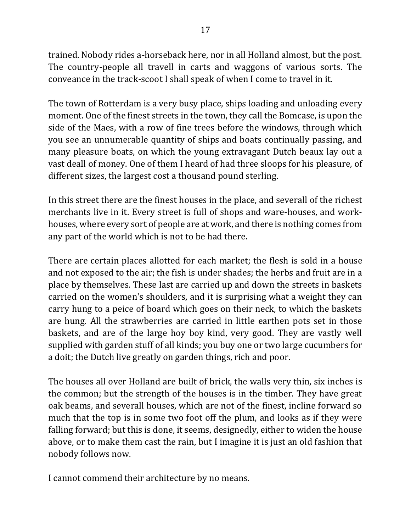trained. Nobody rides a-horseback here, nor in all Holland almost, but the post. The country-people all travell in carts and waggons of various sorts. The conveance in the track-scoot I shall speak of when I come to travel in it.

The town of Rotterdam is a very busy place, ships loading and unloading every moment. One of the finest streets in the town, they call the Bomcase, is upon the side of the Maes, with a row of fine trees before the windows, through which you see an unnumerable quantity of ships and boats continually passing, and many pleasure boats, on which the young extravagant Dutch beaux lay out a vast deall of money. One of them I heard of had three sloops for his pleasure, of different sizes, the largest cost a thousand pound sterling.

In this street there are the finest houses in the place, and severall of the richest merchants live in it. Every street is full of shops and ware-houses, and workhouses, where every sort of people are at work, and there is nothing comes from any part of the world which is not to be had there.

There are certain places allotted for each market; the flesh is sold in a house and not exposed to the air; the fish is under shades; the herbs and fruit are in a place by themselves. These last are carried up and down the streets in baskets carried on the women's shoulders, and it is surprising what a weight they can carry hung to a peice of board which goes on their neck, to which the baskets are hung. All the strawberries are carried in little earthen pots set in those baskets, and are of the large hoy boy kind, very good. They are vastly well supplied with garden stuff of all kinds; you buy one or two large cucumbers for a doit; the Dutch live greatly on garden things, rich and poor.

The houses all over Holland are built of brick, the walls very thin, six inches is the common; but the strength of the houses is in the timber. They have great oak beams, and severall houses, which are not of the finest, incline forward so much that the top is in some two foot off the plum, and looks as if they were falling forward; but this is done, it seems, designedly, either to widen the house above, or to make them cast the rain, but I imagine it is just an old fashion that nobody follows now.

I cannot commend their architecture by no means.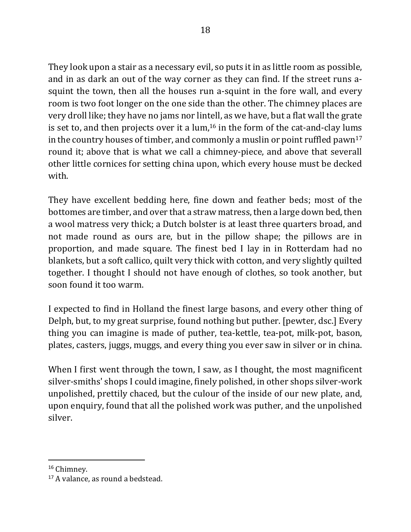They look upon a stair as a necessary evil, so puts it in as little room as possible, and in as dark an out of the way corner as they can find. If the street runs asquint the town, then all the houses run a-squint in the fore wall, and every room is two foot longer on the one side than the other. The chimney places are very droll like; they have no jams nor lintell, as we have, but a flat wall the grate is set to, and then projects over it a  $\text{lum},^{16}$  in the form of the cat-and-clay lums in the country houses of timber, and commonly a muslin or point ruffled pawn<sup>17</sup> round it; above that is what we call a chimney-piece, and above that severall other little cornices for setting china upon, which every house must be decked with. 

They have excellent bedding here, fine down and feather beds; most of the bottomes are timber, and over that a straw matress, then a large down bed, then a wool matress very thick; a Dutch bolster is at least three quarters broad, and not made round as ours are, but in the pillow shape; the pillows are in proportion, and made square. The finest bed I lay in in Rotterdam had no blankets, but a soft callico, quilt very thick with cotton, and very slightly quilted together. I thought I should not have enough of clothes, so took another, but soon found it too warm.

I expected to find in Holland the finest large basons, and every other thing of Delph, but, to my great surprise, found nothing but puther. [pewter, dsc.] Every thing you can imagine is made of puther, tea-kettle, tea-pot, milk-pot, bason, plates, casters, juggs, muggs, and every thing you ever saw in silver or in china.

When I first went through the town, I saw, as I thought, the most magnificent silver-smiths' shops I could imagine, finely polished, in other shops silver-work unpolished, prettily chaced, but the culour of the inside of our new plate, and, upon enquiry, found that all the polished work was puther, and the unpolished silver. 

<sup>&</sup>lt;sup>16</sup> Chimney.

<sup>&</sup>lt;sup>17</sup> A valance, as round a bedstead.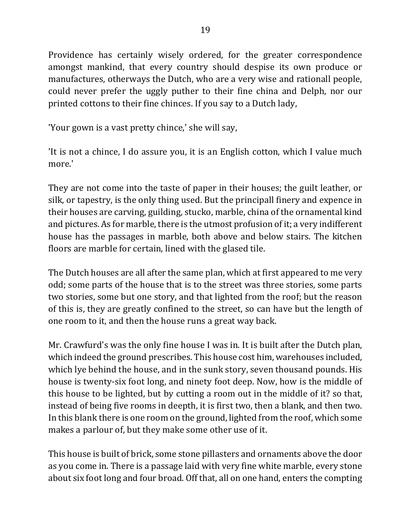Providence has certainly wisely ordered, for the greater correspondence amongst mankind, that every country should despise its own produce or manufactures, otherways the Dutch, who are a very wise and rationall people, could never prefer the uggly puther to their fine china and Delph, nor our printed cottons to their fine chinces. If you say to a Dutch lady,

'Your gown is a vast pretty chince,' she will say,

'It is not a chince, I do assure you, it is an English cotton, which I value much more.' 

They are not come into the taste of paper in their houses; the guilt leather, or silk, or tapestry, is the only thing used. But the principall finery and expence in their houses are carving, guilding, stucko, marble, china of the ornamental kind and pictures. As for marble, there is the utmost profusion of it; a very indifferent house has the passages in marble, both above and below stairs. The kitchen floors are marble for certain, lined with the glased tile.

The Dutch houses are all after the same plan, which at first appeared to me very odd; some parts of the house that is to the street was three stories, some parts two stories, some but one story, and that lighted from the roof; but the reason of this is, they are greatly confined to the street, so can have but the length of one room to it, and then the house runs a great way back.

Mr. Crawfurd's was the only fine house I was in. It is built after the Dutch plan, which indeed the ground prescribes. This house cost him, warehouses included, which lye behind the house, and in the sunk story, seven thousand pounds. His house is twenty-six foot long, and ninety foot deep. Now, how is the middle of this house to be lighted, but by cutting a room out in the middle of it? so that, instead of being five rooms in deepth, it is first two, then a blank, and then two. In this blank there is one room on the ground, lighted from the roof, which some makes a parlour of, but they make some other use of it.

This house is built of brick, some stone pillasters and ornaments above the door as you come in. There is a passage laid with very fine white marble, every stone about six foot long and four broad. Off that, all on one hand, enters the compting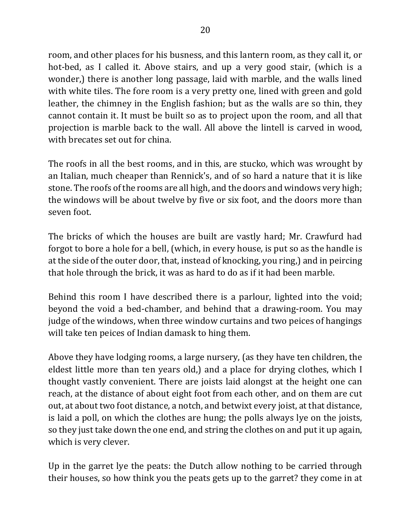room, and other places for his busness, and this lantern room, as they call it, or hot-bed, as I called it. Above stairs, and up a very good stair, (which is a wonder,) there is another long passage, laid with marble, and the walls lined with white tiles. The fore room is a very pretty one, lined with green and gold leather, the chimney in the English fashion; but as the walls are so thin, they cannot contain it. It must be built so as to project upon the room, and all that projection is marble back to the wall. All above the lintell is carved in wood, with brecates set out for china.

The roofs in all the best rooms, and in this, are stucko, which was wrought by an Italian, much cheaper than Rennick's, and of so hard a nature that it is like stone. The roofs of the rooms are all high, and the doors and windows very high; the windows will be about twelve by five or six foot, and the doors more than seven foot.

The bricks of which the houses are built are vastly hard; Mr. Crawfurd had forgot to bore a hole for a bell, (which, in every house, is put so as the handle is at the side of the outer door, that, instead of knocking, you ring,) and in peircing that hole through the brick, it was as hard to do as if it had been marble.

Behind this room I have described there is a parlour, lighted into the void; beyond the void a bed-chamber, and behind that a drawing-room. You may judge of the windows, when three window curtains and two peices of hangings will take ten peices of Indian damask to hing them.

Above they have lodging rooms, a large nursery, (as they have ten children, the eldest little more than ten years old,) and a place for drying clothes, which I thought vastly convenient. There are joists laid alongst at the height one can reach, at the distance of about eight foot from each other, and on them are cut out, at about two foot distance, a notch, and betwixt every joist, at that distance, is laid a poll, on which the clothes are hung; the polls always lye on the joists, so they just take down the one end, and string the clothes on and put it up again, which is very clever.

Up in the garret lye the peats: the Dutch allow nothing to be carried through their houses, so how think you the peats gets up to the garret? they come in at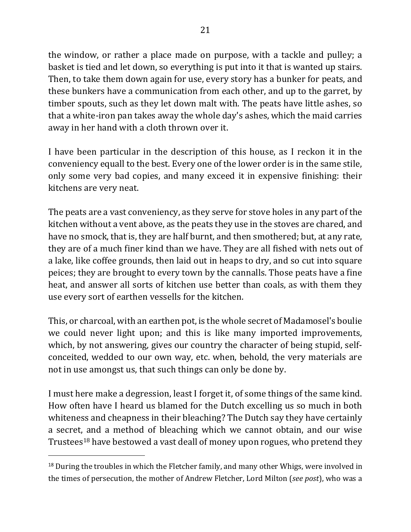the window, or rather a place made on purpose, with a tackle and pulley; a basket is tied and let down, so everything is put into it that is wanted up stairs. Then, to take them down again for use, every story has a bunker for peats, and these bunkers have a communication from each other, and up to the garret, by timber spouts, such as they let down malt with. The peats have little ashes, so that a white-iron pan takes away the whole day's ashes, which the maid carries away in her hand with a cloth thrown over it.

I have been particular in the description of this house, as I reckon it in the conveniency equall to the best. Every one of the lower order is in the same stile, only some very bad copies, and many exceed it in expensive finishing: their kitchens are very neat.

The peats are a vast conveniency, as they serve for stove holes in any part of the kitchen without a vent above, as the peats they use in the stoves are chared, and have no smock, that is, they are half burnt, and then smothered; but, at any rate, they are of a much finer kind than we have. They are all fished with nets out of a lake, like coffee grounds, then laid out in heaps to dry, and so cut into square peices; they are brought to every town by the cannalls. Those peats have a fine heat, and answer all sorts of kitchen use better than coals, as with them they use every sort of earthen vessells for the kitchen.

This, or charcoal, with an earthen pot, is the whole secret of Madamosel's boulie we could never light upon; and this is like many imported improvements, which, by not answering, gives our country the character of being stupid, selfconceited, wedded to our own way, etc. when, behold, the very materials are not in use amongst us, that such things can only be done by.

I must here make a degression, least I forget it, of some things of the same kind. How often have I heard us blamed for the Dutch excelling us so much in both whiteness and cheapness in their bleaching? The Dutch say they have certainly a secret, and a method of bleaching which we cannot obtain, and our wise Trustees<sup>18</sup> have bestowed a vast deall of money upon rogues, who pretend they

 $18$  During the troubles in which the Fletcher family, and many other Whigs, were involved in the times of persecution, the mother of Andrew Fletcher, Lord Milton (*see post*), who was a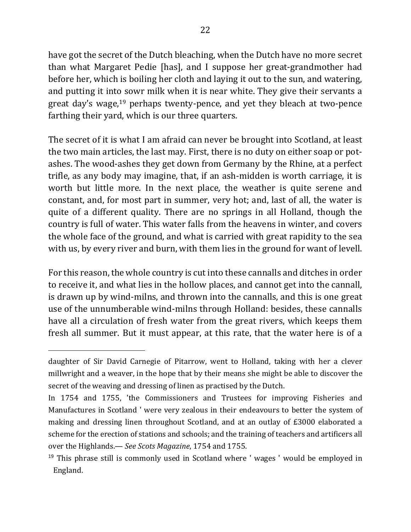have got the secret of the Dutch bleaching, when the Dutch have no more secret than what Margaret Pedie [has], and I suppose her great-grandmother had before her, which is boiling her cloth and laying it out to the sun, and watering, and putting it into sowr milk when it is near white. They give their servants a great day's wage,<sup>19</sup> perhaps twenty-pence, and yet they bleach at two-pence farthing their yard, which is our three quarters.

The secret of it is what I am afraid can never be brought into Scotland, at least the two main articles, the last may. First, there is no duty on either soap or potashes. The wood-ashes they get down from Germany by the Rhine, at a perfect trifle, as any body may imagine, that, if an ash-midden is worth carriage, it is worth but little more. In the next place, the weather is quite serene and constant, and, for most part in summer, very hot; and, last of all, the water is quite of a different quality. There are no springs in all Holland, though the country is full of water. This water falls from the heavens in winter, and covers the whole face of the ground, and what is carried with great rapidity to the sea with us, by every river and burn, with them lies in the ground for want of levell.

For this reason, the whole country is cut into these cannalls and ditches in order to receive it, and what lies in the hollow places, and cannot get into the cannall, is drawn up by wind-milns, and thrown into the cannalls, and this is one great use of the unnumberable wind-milns through Holland: besides, these cannalls have all a circulation of fresh water from the great rivers, which keeps them fresh all summer. But it must appear, at this rate, that the water here is of a

daughter of Sir David Carnegie of Pitarrow, went to Holland, taking with her a clever millwright and a weaver, in the hope that by their means she might be able to discover the secret of the weaving and dressing of linen as practised by the Dutch.

In 1754 and 1755, 'the Commissioners and Trustees for improving Fisheries and Manufactures in Scotland ' were very zealous in their endeavours to better the system of making and dressing linen throughout Scotland, and at an outlay of £3000 elaborated a scheme for the erection of stations and schools; and the training of teachers and artificers all over the Highlands.— See Scots Magazine, 1754 and 1755.

<sup>&</sup>lt;sup>19</sup> This phrase still is commonly used in Scotland where ' wages ' would be employed in England.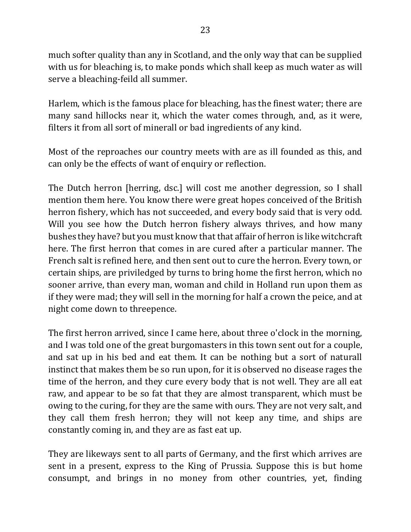much softer quality than any in Scotland, and the only way that can be supplied with us for bleaching is, to make ponds which shall keep as much water as will serve a bleaching-feild all summer.

Harlem, which is the famous place for bleaching, has the finest water; there are many sand hillocks near it, which the water comes through, and, as it were, filters it from all sort of minerall or bad ingredients of any kind.

Most of the reproaches our country meets with are as ill founded as this, and can only be the effects of want of enquiry or reflection.

The Dutch herron [herring, dsc.] will cost me another degression, so I shall mention them here. You know there were great hopes conceived of the British herron fishery, which has not succeeded, and every body said that is very odd. Will you see how the Dutch herron fishery always thrives, and how many bushes they have? but you must know that that affair of herron is like witchcraft here. The first herron that comes in are cured after a particular manner. The French salt is refined here, and then sent out to cure the herron. Every town, or certain ships, are priviledged by turns to bring home the first herron, which no sooner arrive, than every man, woman and child in Holland run upon them as if they were mad; they will sell in the morning for half a crown the peice, and at night come down to threepence.

The first herron arrived, since I came here, about three o'clock in the morning, and I was told one of the great burgomasters in this town sent out for a couple, and sat up in his bed and eat them. It can be nothing but a sort of naturall instinct that makes them be so run upon, for it is observed no disease rages the time of the herron, and they cure every body that is not well. They are all eat raw, and appear to be so fat that they are almost transparent, which must be owing to the curing, for they are the same with ours. They are not very salt, and they call them fresh herron; they will not keep any time, and ships are constantly coming in, and they are as fast eat up.

They are likeways sent to all parts of Germany, and the first which arrives are sent in a present, express to the King of Prussia. Suppose this is but home consumpt, and brings in no money from other countries, yet, finding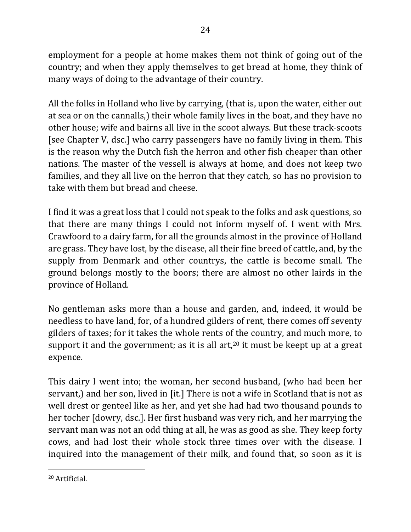employment for a people at home makes them not think of going out of the country; and when they apply themselves to get bread at home, they think of many ways of doing to the advantage of their country.

All the folks in Holland who live by carrying, (that is, upon the water, either out at sea or on the cannalls,) their whole family lives in the boat, and they have no other house; wife and bairns all live in the scoot always. But these track-scoots [see Chapter V, dsc.] who carry passengers have no family living in them. This is the reason why the Dutch fish the herron and other fish cheaper than other nations. The master of the vessell is always at home, and does not keep two families, and they all live on the herron that they catch, so has no provision to take with them but bread and cheese.

I find it was a great loss that I could not speak to the folks and ask questions, so that there are many things I could not inform myself of. I went with Mrs. Crawfoord to a dairy farm, for all the grounds almost in the province of Holland are grass. They have lost, by the disease, all their fine breed of cattle, and, by the supply from Denmark and other countrys, the cattle is become small. The ground belongs mostly to the boors; there are almost no other lairds in the province of Holland.

No gentleman asks more than a house and garden, and, indeed, it would be needless to have land, for, of a hundred gilders of rent, there comes off seventy gilders of taxes; for it takes the whole rents of the country, and much more, to support it and the government; as it is all art,<sup>20</sup> it must be keept up at a great expence. 

This dairy I went into; the woman, her second husband, (who had been her servant,) and her son, lived in [it.] There is not a wife in Scotland that is not as well drest or genteel like as her, and yet she had had two thousand pounds to her tocher [dowry, dsc.]. Her first husband was very rich, and her marrying the servant man was not an odd thing at all, he was as good as she. They keep forty cows, and had lost their whole stock three times over with the disease. I inquired into the management of their milk, and found that, so soon as it is

 <sup>20</sup> Artificial.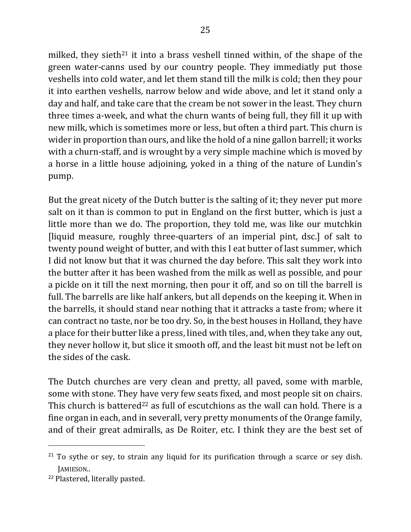milked, they sieth<sup>21</sup> it into a brass veshell tinned within, of the shape of the green water-canns used by our country people. They immediatly put those veshells into cold water, and let them stand till the milk is cold; then they pour it into earthen veshells, narrow below and wide above, and let it stand only a day and half, and take care that the cream be not sower in the least. They churn three times a-week, and what the churn wants of being full, they fill it up with new milk, which is sometimes more or less, but often a third part. This churn is wider in proportion than ours, and like the hold of a nine gallon barrell; it works with a churn-staff, and is wrought by a very simple machine which is moved by a horse in a little house adjoining, yoked in a thing of the nature of Lundin's pump. 

But the great nicety of the Dutch butter is the salting of it; they never put more salt on it than is common to put in England on the first butter, which is just a little more than we do. The proportion, they told me, was like our mutchkin [liquid measure, roughly three-quarters of an imperial pint, dsc.] of salt to twenty pound weight of butter, and with this I eat butter of last summer, which I did not know but that it was churned the day before. This salt they work into the butter after it has been washed from the milk as well as possible, and pour a pickle on it till the next morning, then pour it off, and so on till the barrell is full. The barrells are like half ankers, but all depends on the keeping it. When in the barrells, it should stand near nothing that it attracks a taste from; where it can contract no taste, nor be too dry. So, in the best houses in Holland, they have a place for their butter like a press, lined with tiles, and, when they take any out, they never hollow it, but slice it smooth off, and the least bit must not be left on the sides of the cask.

The Dutch churches are very clean and pretty, all paved, some with marble, some with stone. They have very few seats fixed, and most people sit on chairs. This church is battered<sup>22</sup> as full of escutchions as the wall can hold. There is a fine organ in each, and in severall, very pretty monuments of the Orange family, and of their great admiralls, as De Roiter, etc. I think they are the best set of

 $21$  To sythe or sey, to strain any liquid for its purification through a scarce or sey dish. JAMIESON.. 

<sup>&</sup>lt;sup>22</sup> Plastered, literally pasted.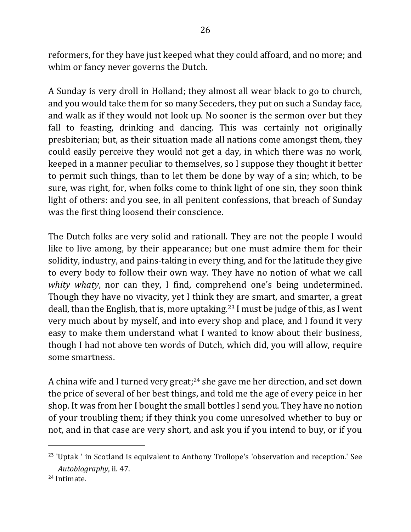reformers, for they have just keeped what they could affoard, and no more; and whim or fancy never governs the Dutch.

A Sunday is very droll in Holland; they almost all wear black to go to church, and you would take them for so many Seceders, they put on such a Sunday face, and walk as if they would not look up. No sooner is the sermon over but they fall to feasting, drinking and dancing. This was certainly not originally presbiterian; but, as their situation made all nations come amongst them, they could easily perceive they would not get a day, in which there was no work, keeped in a manner peculiar to themselves, so I suppose they thought it better to permit such things, than to let them be done by way of a sin; which, to be sure, was right, for, when folks come to think light of one sin, they soon think light of others: and you see, in all penitent confessions, that breach of Sunday was the first thing loosend their conscience.

The Dutch folks are very solid and rationall. They are not the people I would like to live among, by their appearance; but one must admire them for their solidity, industry, and pains-taking in every thing, and for the latitude they give to every body to follow their own way. They have no notion of what we call *whity whaty*, nor can they, I find, comprehend one's being undetermined. Though they have no vivacity, yet I think they are smart, and smarter, a great deall, than the English, that is, more uptaking.<sup>23</sup> I must be judge of this, as I went very much about by myself, and into every shop and place, and I found it very easy to make them understand what I wanted to know about their business, though I had not above ten words of Dutch, which did, you will allow, require some smartness.

A china wife and I turned very great;<sup>24</sup> she gave me her direction, and set down the price of several of her best things, and told me the age of every peice in her shop. It was from her I bought the small bottles I send you. They have no notion of your troubling them; if they think you come unresolved whether to buy or not, and in that case are very short, and ask you if you intend to buy, or if you

<sup>&</sup>lt;sup>23</sup> 'Uptak ' in Scotland is equivalent to Anthony Trollope's 'observation and reception.' See Autobiography, ii. 47.

<sup>24</sup> Intimate.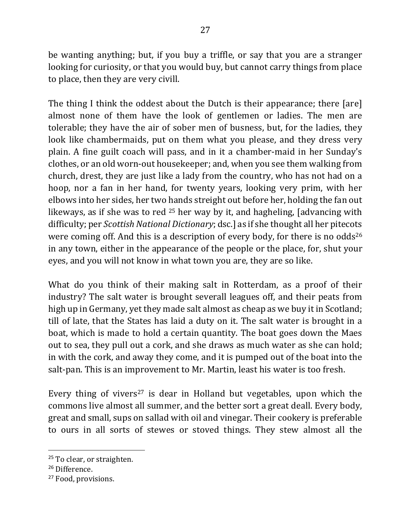be wanting anything; but, if you buy a triffle, or say that you are a stranger looking for curiosity, or that you would buy, but cannot carry things from place to place, then they are very civill.

The thing I think the oddest about the Dutch is their appearance; there [are] almost none of them have the look of gentlemen or ladies. The men are tolerable; they have the air of sober men of busness, but, for the ladies, they look like chambermaids, put on them what you please, and they dress very plain. A fine guilt coach will pass, and in it a chamber-maid in her Sunday's clothes, or an old worn-out housekeeper; and, when you see them walking from church, drest, they are just like a lady from the country, who has not had on a hoop, nor a fan in her hand, for twenty years, looking very prim, with her elbows into her sides, her two hands streight out before her, holding the fan out likeways, as if she was to red  $25$  her way by it, and hagheling, [advancing with difficulty; per *Scottish National Dictionary*; dsc.] as if she thought all her pitecots were coming off. And this is a description of every body, for there is no odds<sup>26</sup> in any town, either in the appearance of the people or the place, for, shut your eyes, and you will not know in what town you are, they are so like.

What do you think of their making salt in Rotterdam, as a proof of their industry? The salt water is brought severall leagues off, and their peats from high up in Germany, yet they made salt almost as cheap as we buy it in Scotland; till of late, that the States has laid a duty on it. The salt water is brought in a boat, which is made to hold a certain quantity. The boat goes down the Maes out to sea, they pull out a cork, and she draws as much water as she can hold; in with the cork, and away they come, and it is pumped out of the boat into the salt-pan. This is an improvement to Mr. Martin, least his water is too fresh.

Every thing of vivers<sup>27</sup> is dear in Holland but vegetables, upon which the commons live almost all summer, and the better sort a great deall. Every body, great and small, sups on sallad with oil and vinegar. Their cookery is preferable to ours in all sorts of stewes or stoved things. They stew almost all the

<sup>&</sup>lt;sup>25</sup> To clear, or straighten.

<sup>26</sup> Difference.

<sup>&</sup>lt;sup>27</sup> Food, provisions.